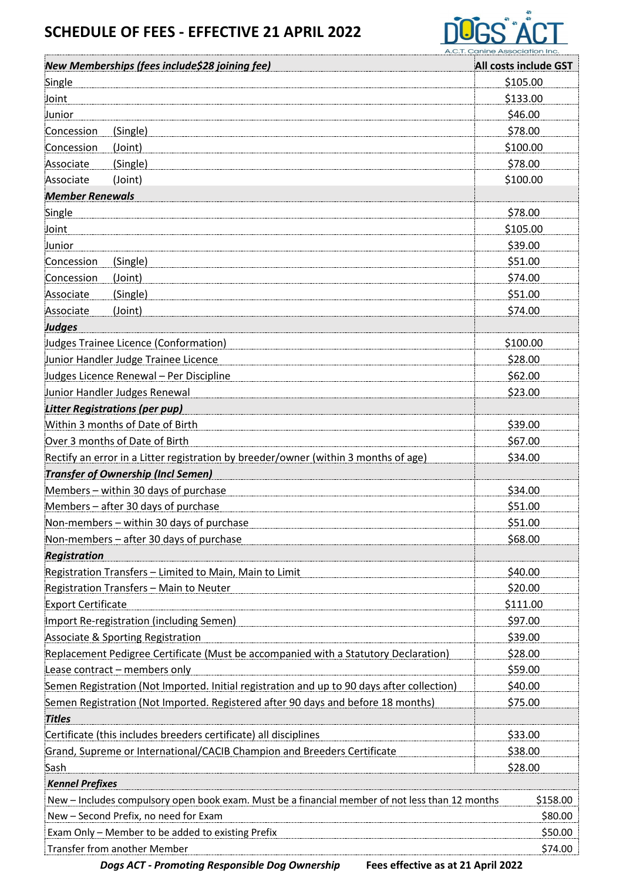## **SCHEDULE OF FEES - EFFECTIVE 21 APRIL 2022**



|                           | New Memberships (fees include\$28 joining fee)                                                  | <u>A.C.T. Canine Association Inc.</u><br>All costs include GST |
|---------------------------|-------------------------------------------------------------------------------------------------|----------------------------------------------------------------|
| Single                    |                                                                                                 | \$105.00                                                       |
| Joint                     |                                                                                                 | \$133.00                                                       |
| Junior                    |                                                                                                 | \$46.00                                                        |
| Concession                | (Single)                                                                                        | \$78.00                                                        |
| Concession                | (Joint)                                                                                         | \$100.00                                                       |
| Associate                 | (Single)                                                                                        | \$78.00                                                        |
| Associate                 | (Joint)                                                                                         | \$100.00                                                       |
| <b>Member Renewals</b>    |                                                                                                 |                                                                |
| Single                    |                                                                                                 | \$78.00                                                        |
| Joint                     |                                                                                                 | \$105.00                                                       |
| Junior                    |                                                                                                 | \$39.00                                                        |
| Concession                | (Single)                                                                                        | \$51.00                                                        |
| Concession                | (Joint)                                                                                         | \$74.00                                                        |
| Associate                 | (Single)                                                                                        | \$51.00                                                        |
| Associate                 | (Joint)                                                                                         | \$74.00                                                        |
| Judges                    |                                                                                                 |                                                                |
|                           | <b>Judges Trainee Licence (Conformation)</b>                                                    | \$100.00                                                       |
|                           | Junior Handler Judge Trainee Licence                                                            | \$28.00                                                        |
|                           | Judges Licence Renewal - Per Discipline                                                         | \$62.00                                                        |
|                           | Junior Handler Judges Renewal                                                                   | \$23.00                                                        |
|                           | <b>Litter Registrations (per pup)</b>                                                           |                                                                |
|                           | Within 3 months of Date of Birth                                                                | \$39.00                                                        |
|                           | Over 3 months of Date of Birth                                                                  | \$67.00                                                        |
|                           | Rectify an error in a Litter registration by breeder/owner (within 3 months of age)             | \$34.00                                                        |
|                           | <b>Transfer of Ownership (Incl Semen)</b>                                                       |                                                                |
|                           | Members - within 30 days of purchase                                                            | \$34.00                                                        |
|                           | Members - after 30 days of purchase                                                             | \$51.00                                                        |
|                           | Non-members – within 30 days of purchase                                                        | \$51.00                                                        |
|                           | Non-members - after 30 days of purchase                                                         | \$68.00                                                        |
| Registration              |                                                                                                 |                                                                |
|                           | Registration Transfers - Limited to Main, Main to Limit                                         | \$40.00                                                        |
|                           | <b>Registration Transfers - Main to Neuter</b>                                                  | \$20.00                                                        |
| <b>Export Certificate</b> |                                                                                                 | \$111.00                                                       |
|                           | Import Re-registration (including Semen)                                                        | \$97.00                                                        |
|                           | <b>Associate &amp; Sporting Registration</b>                                                    | \$39.00                                                        |
|                           | Replacement Pedigree Certificate (Must be accompanied with a Statutory Declaration)             | \$28.00                                                        |
|                           | Lease contract - members only                                                                   | \$59.00                                                        |
|                           | Semen Registration (Not Imported. Initial registration and up to 90 days after collection)      | \$40.00                                                        |
|                           | Semen Registration (Not Imported. Registered after 90 days and before 18 months)                | \$75.00                                                        |
| <b>Titles</b>             |                                                                                                 |                                                                |
|                           | Certificate (this includes breeders certificate) all disciplines                                | \$33.00                                                        |
|                           | Grand, Supreme or International/CACIB Champion and Breeders Certificate                         | \$38.00                                                        |
| Sash                      |                                                                                                 | \$28.00                                                        |
| <b>Kennel Prefixes</b>    |                                                                                                 |                                                                |
|                           | New - Includes compulsory open book exam. Must be a financial member of not less than 12 months | \$158.00                                                       |
|                           | New - Second Prefix, no need for Exam                                                           | \$80.00                                                        |
|                           | Exam Only - Member to be added to existing Prefix                                               | \$50.00                                                        |
|                           | Transfer from another Member                                                                    | \$74.00                                                        |

*Dogs ACT - Promoting Responsible Dog Ownership* **Fees effective as at 21 April 2022**